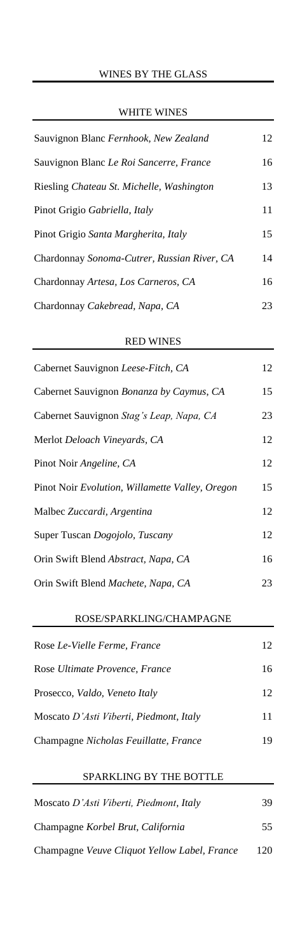## WHITE WINES

| Sauvignon Blanc Fernhook, New Zealand       | 12 |
|---------------------------------------------|----|
| Sauvignon Blanc Le Roi Sancerre, France     | 16 |
| Riesling Chateau St. Michelle, Washington   | 13 |
| Pinot Grigio Gabriella, Italy               | 11 |
| Pinot Grigio Santa Margherita, Italy        | 15 |
| Chardonnay Sonoma-Cutrer, Russian River, CA | 14 |
| Chardonnay Artesa, Los Carneros, CA         | 16 |
| Chardonnay Cakebread, Napa, CA              | 23 |

### RED WINES

| Cabernet Sauvignon Leese-Fitch, CA              | 12 |
|-------------------------------------------------|----|
| Cabernet Sauvignon Bonanza by Caymus, CA        | 15 |
| Cabernet Sauvignon Stag's Leap, Napa, CA        | 23 |
| Merlot Deloach Vineyards, CA                    | 12 |
| Pinot Noir Angeline, CA                         | 12 |
| Pinot Noir Evolution, Willamette Valley, Oregon | 15 |
| Malbec Zuccardi, Argentina                      | 12 |
| Super Tuscan Dogojolo, Tuscany                  | 12 |
| Orin Swift Blend Abstract, Napa, CA             | 16 |
| Orin Swift Blend Machete, Napa, CA              | 23 |

## ROSE/SPARKLING/CHAMPAGNE

| Rose Le-Vielle Ferme, France            | 12  |
|-----------------------------------------|-----|
| Rose Ultimate Provence, France          | 16  |
| Prosecco, Valdo, Veneto Italy           | 12. |
| Moscato D'Asti Viberti, Piedmont, Italy | 11  |
| Champagne Nicholas Feuillatte, France   | 19  |

# SPARKLING BY THE BOTTLE

| Moscato D'Asti Viberti, Piedmont, Italy      | 39. |
|----------------------------------------------|-----|
| Champagne <i>Korbel Brut, California</i>     | 55. |
| Champagne Veuve Cliquot Yellow Label, France | 120 |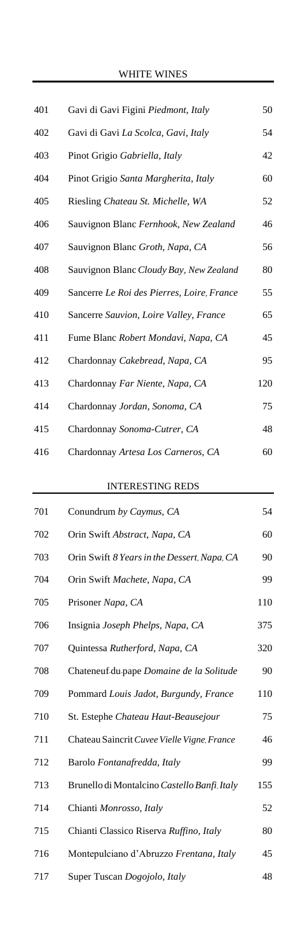| 401 | Gavi di Gavi Figini Piedmont, Italy        | 50  |
|-----|--------------------------------------------|-----|
| 402 | Gavi di Gavi La Scolca, Gavi, Italy        | 54  |
| 403 | Pinot Grigio Gabriella, Italy              | 42  |
| 404 | Pinot Grigio Santa Margherita, Italy       | 60  |
| 405 | Riesling Chateau St. Michelle, WA          | 52  |
| 406 | Sauvignon Blanc Fernhook, New Zealand      | 46  |
| 407 | Sauvignon Blanc Groth, Napa, CA            | 56  |
| 408 | Sauvignon Blanc Cloudy Bay, New Zealand    | 80  |
| 409 | Sancerre Le Roi des Pierres, Loire, France | 55  |
| 410 | Sancerre Sauvion, Loire Valley, France     | 65  |
| 411 | Fume Blanc Robert Mondavi, Napa, CA        | 45  |
| 412 | Chardonnay Cakebread, Napa, CA             | 95  |
| 413 | Chardonnay Far Niente, Napa, CA            | 120 |
| 414 | Chardonnay Jordan, Sonoma, CA              | 75  |
| 415 | Chardonnay Sonoma-Cutrer, CA               | 48  |
| 416 | Chardonnay Artesa Los Carneros, CA         | 60  |

## INTERESTING REDS

| 701 | Conundrum by Caymus, CA                      | 54  |
|-----|----------------------------------------------|-----|
| 702 | Orin Swift Abstract, Napa, CA                | 60  |
| 703 | Orin Swift 8 Years in the Dessert, Napa, CA  | 90  |
| 704 | Orin Swift Machete, Napa, CA                 | 99  |
| 705 | Prisoner Napa, CA                            | 110 |
| 706 | Insignia Joseph Phelps, Napa, CA             | 375 |
| 707 | Quintessa Rutherford, Napa, CA               | 320 |
| 708 | Chateneuf du pape Domaine de la Solitude     | 90  |
| 709 | Pommard Louis Jadot, Burgundy, France        | 110 |
| 710 | St. Estephe Chateau Haut-Beausejour          | 75  |
| 711 | Chateau Saincrit Cuvee Vielle Vigne, France  | 46  |
| 712 | Barolo Fontanafredda, Italy                  | 99  |
| 713 | Brunello di Montalcino Castello Banfi, Italy | 155 |
| 714 | Chianti Monrosso, Italy                      | 52  |
| 715 | Chianti Classico Riserva Ruffino, Italy      | 80  |
| 716 | Montepulciano d'Abruzzo Frentana, Italy      | 45  |
| 717 | Super Tuscan Dogojolo, Italy                 | 48  |